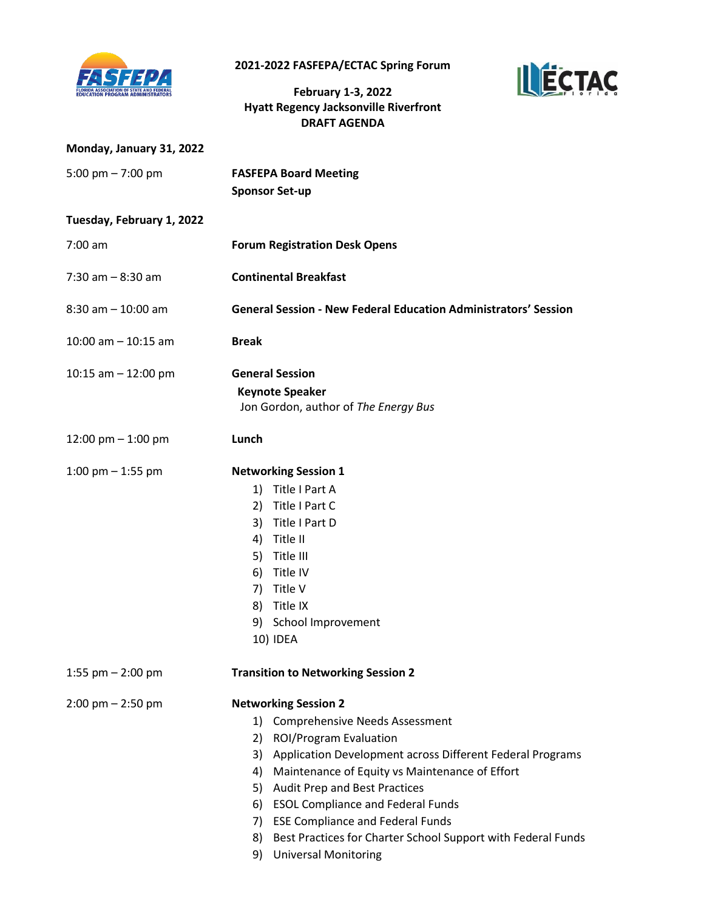

**2021-2022 FASFEPA/ECTAC Spring Forum** 

**February 1-3, 2022 Hyatt Regency Jacksonville Riverfront DRAFT AGENDA**



| Monday, January 31, 2022  |                                                                                                                                                                                                                                                                                                                                                                                                                                                                                      |
|---------------------------|--------------------------------------------------------------------------------------------------------------------------------------------------------------------------------------------------------------------------------------------------------------------------------------------------------------------------------------------------------------------------------------------------------------------------------------------------------------------------------------|
| 5:00 pm $- 7:00$ pm       | <b>FASFEPA Board Meeting</b><br><b>Sponsor Set-up</b>                                                                                                                                                                                                                                                                                                                                                                                                                                |
| Tuesday, February 1, 2022 |                                                                                                                                                                                                                                                                                                                                                                                                                                                                                      |
| $7:00 \text{ am}$         | <b>Forum Registration Desk Opens</b>                                                                                                                                                                                                                                                                                                                                                                                                                                                 |
| $7:30$ am $-8:30$ am      | <b>Continental Breakfast</b>                                                                                                                                                                                                                                                                                                                                                                                                                                                         |
| $8:30$ am $-10:00$ am     | <b>General Session - New Federal Education Administrators' Session</b>                                                                                                                                                                                                                                                                                                                                                                                                               |
| $10:00$ am $-10:15$ am    | <b>Break</b>                                                                                                                                                                                                                                                                                                                                                                                                                                                                         |
| 10:15 am $-$ 12:00 pm     | <b>General Session</b><br><b>Keynote Speaker</b><br>Jon Gordon, author of The Energy Bus                                                                                                                                                                                                                                                                                                                                                                                             |
| 12:00 pm $-$ 1:00 pm      | Lunch                                                                                                                                                                                                                                                                                                                                                                                                                                                                                |
| 1:00 pm $-$ 1:55 pm       | <b>Networking Session 1</b><br>1) Title I Part A<br>Title I Part C<br>2)<br>3) Title I Part D<br>Title II<br>4)<br>5) Title III<br>6) Title IV<br>Title V<br>7)<br>8) Title IX<br>9) School Improvement<br>10) IDEA                                                                                                                                                                                                                                                                  |
| 1:55 pm $-$ 2:00 pm       | <b>Transition to Networking Session 2</b>                                                                                                                                                                                                                                                                                                                                                                                                                                            |
| $2:00$ pm $- 2:50$ pm     | <b>Networking Session 2</b><br>1) Comprehensive Needs Assessment<br>2)<br><b>ROI/Program Evaluation</b><br>Application Development across Different Federal Programs<br>3)<br>Maintenance of Equity vs Maintenance of Effort<br>4)<br>5)<br><b>Audit Prep and Best Practices</b><br>6) ESOL Compliance and Federal Funds<br><b>ESE Compliance and Federal Funds</b><br>7)<br>Best Practices for Charter School Support with Federal Funds<br>8)<br><b>Universal Monitoring</b><br>9) |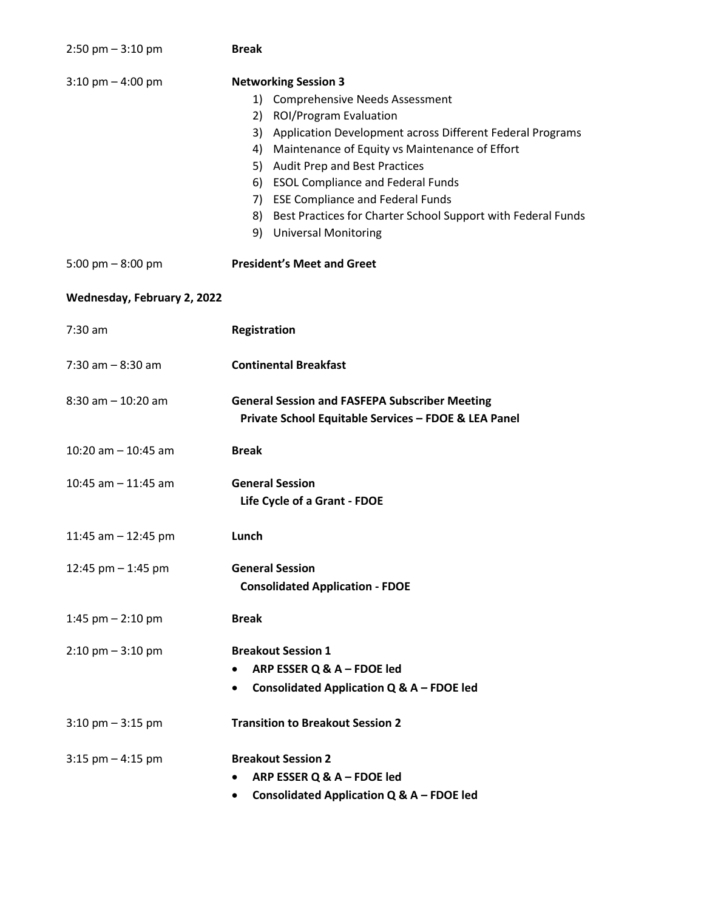| $2:50$ pm $-3:10$ pm                | <b>Break</b>                                                                                                                                                                                                                                                                                                                                                                                                                        |
|-------------------------------------|-------------------------------------------------------------------------------------------------------------------------------------------------------------------------------------------------------------------------------------------------------------------------------------------------------------------------------------------------------------------------------------------------------------------------------------|
| $3:10$ pm $- 4:00$ pm               | <b>Networking Session 3</b><br>1) Comprehensive Needs Assessment<br>2) ROI/Program Evaluation<br>3) Application Development across Different Federal Programs<br>4) Maintenance of Equity vs Maintenance of Effort<br>5) Audit Prep and Best Practices<br>6) ESOL Compliance and Federal Funds<br>7) ESE Compliance and Federal Funds<br>8) Best Practices for Charter School Support with Federal Funds<br>9) Universal Monitoring |
| 5:00 pm $-$ 8:00 pm                 | <b>President's Meet and Greet</b>                                                                                                                                                                                                                                                                                                                                                                                                   |
| Wednesday, February 2, 2022         |                                                                                                                                                                                                                                                                                                                                                                                                                                     |
| $7:30$ am                           | Registration                                                                                                                                                                                                                                                                                                                                                                                                                        |
| $7:30$ am $-8:30$ am                | <b>Continental Breakfast</b>                                                                                                                                                                                                                                                                                                                                                                                                        |
| $8:30$ am $-10:20$ am               | <b>General Session and FASFEPA Subscriber Meeting</b><br>Private School Equitable Services - FDOE & LEA Panel                                                                                                                                                                                                                                                                                                                       |
| 10:20 am $-$ 10:45 am               | <b>Break</b>                                                                                                                                                                                                                                                                                                                                                                                                                        |
| 10:45 am $-$ 11:45 am               | <b>General Session</b><br>Life Cycle of a Grant - FDOE                                                                                                                                                                                                                                                                                                                                                                              |
| 11:45 am $-$ 12:45 pm               | Lunch                                                                                                                                                                                                                                                                                                                                                                                                                               |
| 12:45 pm $-$ 1:45 pm                | <b>General Session</b><br><b>Consolidated Application - FDOE</b>                                                                                                                                                                                                                                                                                                                                                                    |
| 1:45 pm $-$ 2:10 pm                 | <b>Break</b>                                                                                                                                                                                                                                                                                                                                                                                                                        |
| $2:10 \text{ pm} - 3:10 \text{ pm}$ | <b>Breakout Session 1</b><br>ARP ESSER Q & A - FDOE led<br>Consolidated Application Q & A - FDOE led<br>$\bullet$                                                                                                                                                                                                                                                                                                                   |
| $3:10 \text{ pm} - 3:15 \text{ pm}$ | <b>Transition to Breakout Session 2</b>                                                                                                                                                                                                                                                                                                                                                                                             |
| $3:15$ pm $- 4:15$ pm               | <b>Breakout Session 2</b><br>ARP ESSER Q & A - FDOE led<br>Consolidated Application Q & A - FDOE led                                                                                                                                                                                                                                                                                                                                |